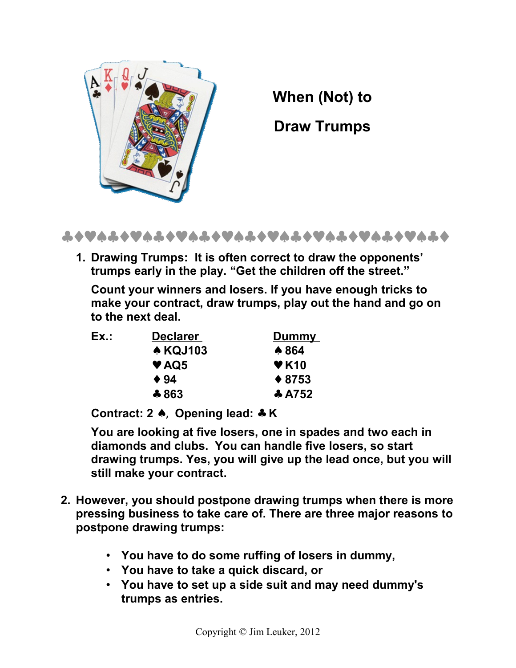

**When (Not) to**

**Draw Trumps**



**1. Drawing Trumps: It is often correct to draw the opponents' trumps early in the play. "Get the children off the street."**

**Count your winners and losers. If you have enough tricks to make your contract, draw trumps, play out the hand and go on to the next deal.**

| Ex.: | <b>Declarer</b> | <b>Dummy</b>                         |
|------|-----------------|--------------------------------------|
|      | <b>A KQJ103</b> | ↑ 864                                |
|      | $\vee$ AQ5      | $\blacktriangledown$ K <sub>10</sub> |
|      | $\div$ 94       | $*8753$                              |
|      | $*863$          | $\ast$ A752                          |

**Contract: 2** ♠, **Opening lead:** ♣ **K**

**You are looking at five losers, one in spades and two each in diamonds and clubs. You can handle five losers, so start drawing trumps. Yes, you will give up the lead once, but you will still make your contract.**

- **2. However, you should postpone drawing trumps when there is more pressing business to take care of. There are three major reasons to postpone drawing trumps:**
	- **You have to do some ruffing of losers in dummy,**
	- **You have to take a quick discard, or**
	- **You have to set up a side suit and may need dummy's trumps as entries.**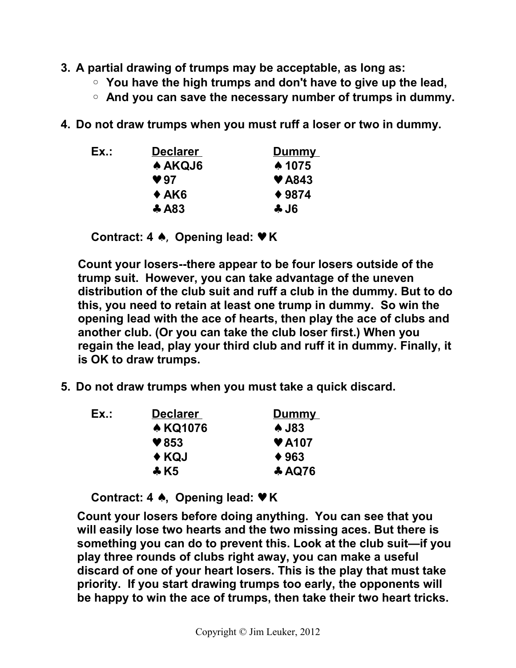- **3. A partial drawing of trumps may be acceptable, as long as:**
	- **You have the high trumps and don't have to give up the lead,**
	- **And you can save the necessary number of trumps in dummy.**
- **4. Do not draw trumps when you must ruff a loser or two in dummy.**

| Ex.: | <b>Declarer</b> | Dummy                     |
|------|-----------------|---------------------------|
|      | <b>A AKQJ6</b>  | ↑ 1075                    |
|      | $\vee$ 97       | $\blacktriangledown$ A843 |
|      | $\triangle$ AK6 | $* 9874$                  |
|      | $\ast$ A83      | 4J6                       |

**Contract: 4** ♠, **Opening lead:** ♥ **K**

**Count your losers--there appear to be four losers outside of the trump suit. However, you can take advantage of the uneven distribution of the club suit and ruff a club in the dummy. But to do this, you need to retain at least one trump in dummy. So win the opening lead with the ace of hearts, then play the ace of clubs and another club. (Or you can take the club loser first.) When you regain the lead, play your third club and ruff it in dummy. Finally, it is OK to draw trumps.** 

**5. Do not draw trumps when you must take a quick discard.**

| Ex.: | <b>Declarer</b>       | <b>Dummy</b>              |
|------|-----------------------|---------------------------|
|      | <b>A KQ1076</b>       | <b>A</b> J83              |
|      | $\vee$ 853            | $\blacktriangledown$ A107 |
|      | ← KQJ                 | $*963$                    |
|      | $\div$ K <sub>5</sub> | <b>AQ76</b>               |

**Contract: 4** ♠**, Opening lead:** ♥ **K**

**Count your losers before doing anything. You can see that you will easily lose two hearts and the two missing aces. But there is something you can do to prevent this. Look at the club suit—if you play three rounds of clubs right away, you can make a useful discard of one of your heart losers. This is the play that must take priority. If you start drawing trumps too early, the opponents will be happy to win the ace of trumps, then take their two heart tricks.**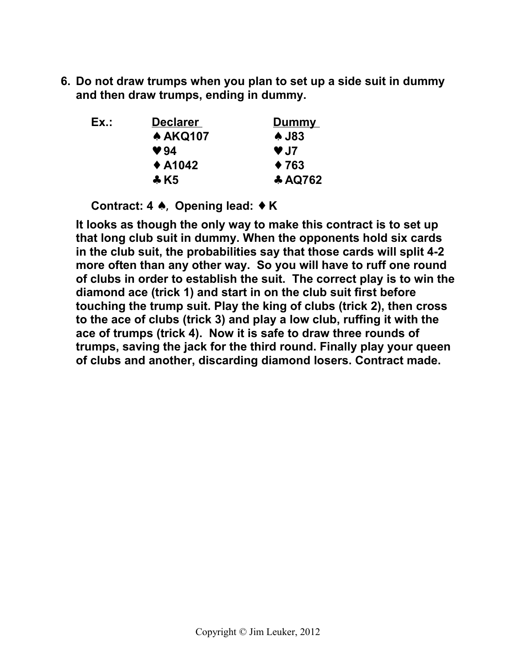**6. Do not draw trumps when you plan to set up a side suit in dummy and then draw trumps, ending in dummy.**

| Ex.: | <b>Declarer</b>       | <b>Dummy</b> |
|------|-----------------------|--------------|
|      | <b>A AKQ107</b>       | <b>A</b> J83 |
|      | $\vee$ 94             | $\vee$ J7    |
|      | $\triangle$ A1042     | $\div 763$   |
|      | $\div$ K <sub>5</sub> | * AQ762      |

**Contract: 4** ♠, **Opening lead:** ♦ **K**

**It looks as though the only way to make this contract is to set up that long club suit in dummy. When the opponents hold six cards in the club suit, the probabilities say that those cards will split 4-2 more often than any other way. So you will have to ruff one round of clubs in order to establish the suit. The correct play is to win the diamond ace (trick 1) and start in on the club suit first before touching the trump suit. Play the king of clubs (trick 2), then cross to the ace of clubs (trick 3) and play a low club, ruffing it with the ace of trumps (trick 4). Now it is safe to draw three rounds of trumps, saving the jack for the third round. Finally play your queen of clubs and another, discarding diamond losers. Contract made.**